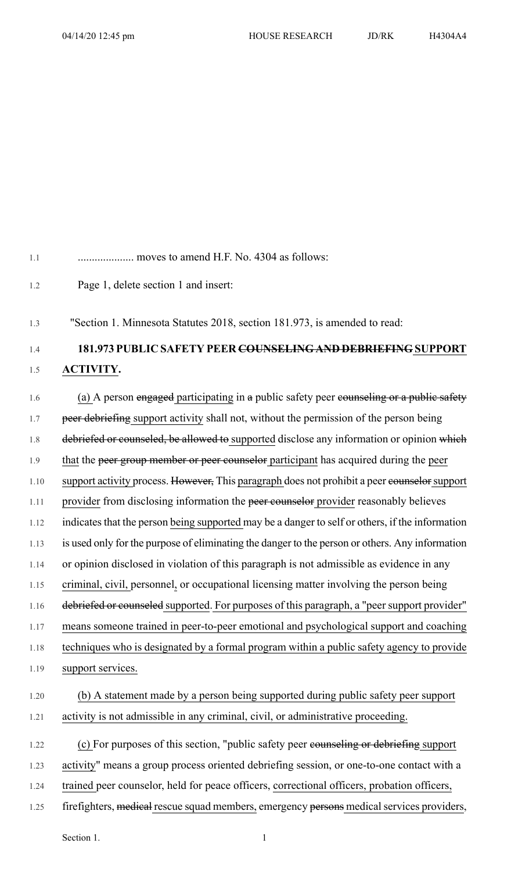1.1 .................... moves to amend H.F. No. 4304 as follows: 1.2 Page 1, delete section 1 and insert:

1.3 "Section 1. Minnesota Statutes 2018, section 181.973, is amended to read:

1.4 **181.973 PUBLIC SAFETY PEER COUNSELING AND DEBRIEFING SUPPORT** 1.5 **ACTIVITY.**

1.6 (a) A person engaged participating in a public safety peer counseling or a public safety 1.7 peer debriefing support activity shall not, without the permission of the person being 1.8 debriefed or counseled, be allowed to supported disclose any information or opinion which 1.9 that the peer group member or peer counselor participant has acquired during the peer 1.10 support activity process. However, This paragraph does not prohibit a peer counselor support 1.11 provider from disclosing information the peer counselor provider reasonably believes 1.12 indicates that the person being supported may be a danger to self or others, if the information 1.13 is used only for the purpose of eliminating the danger to the person or others. Any information 1.14 or opinion disclosed in violation of this paragraph is not admissible as evidence in any 1.15 criminal, civil, personnel, or occupational licensing matter involving the person being 1.16 debriefed or counseled supported. For purposes of this paragraph, a "peer support provider" 1.17 means someone trained in peer-to-peer emotional and psychological support and coaching 1.18 techniques who is designated by a formal program within a public safety agency to provide 1.19 support services. 1.20 (b) A statement made by a person being supported during public safety peer support 1.21 activity is not admissible in any criminal, civil, or administrative proceeding. 1.22 (c) For purposes of this section, "public safety peer eounseling or debriefing support 1.23 activity" means a group process oriented debriefing session, or one-to-one contact with a

- 1.24 trained peer counselor, held for peace officers, correctional officers, probation officers,
- 1.25 firefighters, medical rescue squad members, emergency persons medical services providers,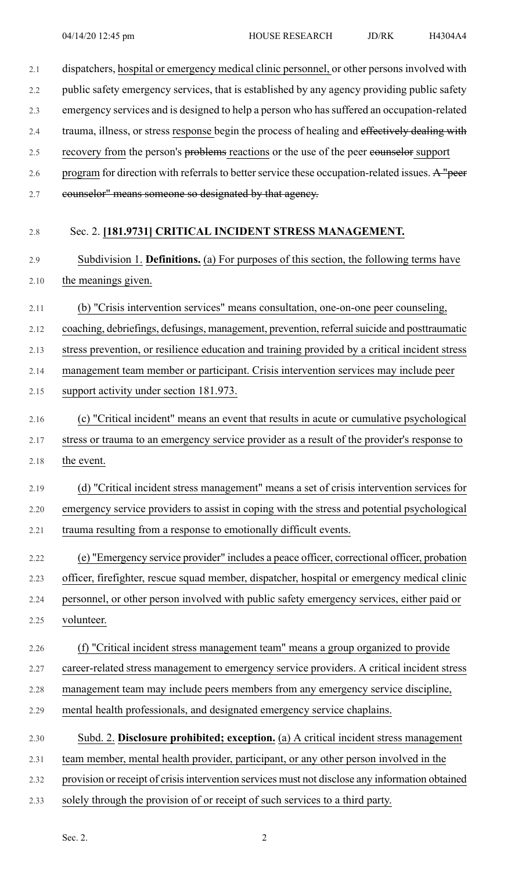| 2.1  | dispatchers, hospital or emergency medical clinic personnel, or other persons involved with     |
|------|-------------------------------------------------------------------------------------------------|
| 2.2  | public safety emergency services, that is established by any agency providing public safety     |
| 2.3  | emergency services and is designed to help a person who has suffered an occupation-related      |
| 2.4  | trauma, illness, or stress response begin the process of healing and effectively dealing with   |
| 2.5  | recovery from the person's problems reactions or the use of the peer eounselor support          |
| 2.6  | program for direction with referrals to better service these occupation-related issues. A "peer |
| 2.7  | eounselor" means someone so designated by that agency.                                          |
| 2.8  | Sec. 2. [181.9731] CRITICAL INCIDENT STRESS MANAGEMENT.                                         |
| 2.9  | Subdivision 1. Definitions. (a) For purposes of this section, the following terms have          |
| 2.10 | the meanings given.                                                                             |
| 2.11 | (b) "Crisis intervention services" means consultation, one-on-one peer counseling,              |
| 2.12 | coaching, debriefings, defusings, management, prevention, referral suicide and posttraumatic    |
| 2.13 | stress prevention, or resilience education and training provided by a critical incident stress  |
| 2.14 | management team member or participant. Crisis intervention services may include peer            |
| 2.15 | support activity under section 181.973.                                                         |
| 2.16 | (c) "Critical incident" means an event that results in acute or cumulative psychological        |
| 2.17 | stress or trauma to an emergency service provider as a result of the provider's response to     |
| 2.18 | the event.                                                                                      |
| 2.19 | (d) "Critical incident stress management" means a set of crisis intervention services for       |
| 2.20 | emergency service providers to assist in coping with the stress and potential psychological     |
| 2.21 | trauma resulting from a response to emotionally difficult events.                               |
| 2.22 | (e) "Emergency service provider" includes a peace officer, correctional officer, probation      |
| 2.23 | officer, firefighter, rescue squad member, dispatcher, hospital or emergency medical clinic     |
| 2.24 | personnel, or other person involved with public safety emergency services, either paid or       |
| 2.25 | volunteer.                                                                                      |
| 2.26 | (f) "Critical incident stress management team" means a group organized to provide               |
| 2.27 | career-related stress management to emergency service providers. A critical incident stress     |
| 2.28 | management team may include peers members from any emergency service discipline,                |
| 2.29 | mental health professionals, and designated emergency service chaplains.                        |
| 2.30 | Subd. 2. Disclosure prohibited; exception. (a) A critical incident stress management            |
| 2.31 | team member, mental health provider, participant, or any other person involved in the           |
| 2.32 | provision or receipt of crisis intervention services must not disclose any information obtained |

2.33 solely through the provision of or receipt of such services to a third party.